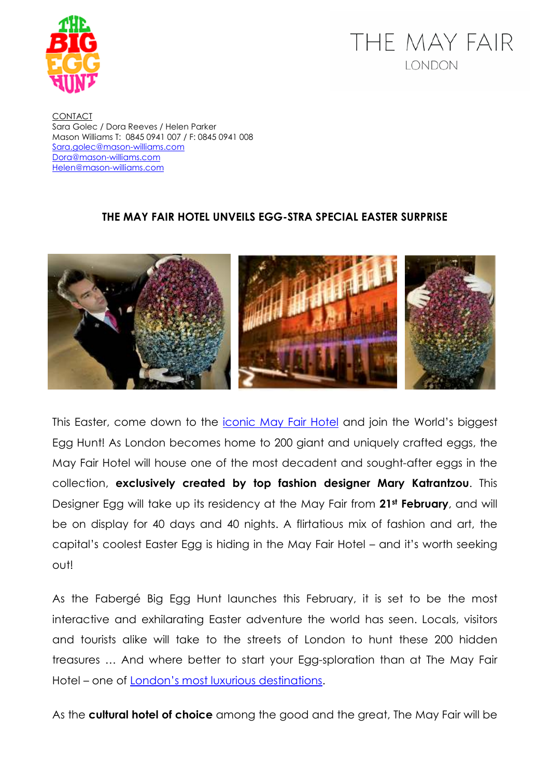

## THE MAY FAIR **LONDON**

**CONTACT** Sara Golec / Dora Reeves / Helen Parker Mason Williams T: 0845 0941 007 / F: 0845 0941 008 Sara.golec@mason-williams.com Dora@mason-williams.com Helen@mason-williams.com

## **THE MAY FAIR HOTEL UNVEILS EGG-STRA SPECIAL EASTER SURPRISE**



This Easter, come down to the *iconic May Fair Hotel* and join the World's biggest Egg Hunt! As London becomes home to 200 giant and uniquely crafted eggs, the May Fair Hotel will house one of the most decadent and sought-after eggs in the collection, **exclusively created by top fashion designer Mary Katrantzou**. This Designer Egg will take up its residency at the May Fair from **21st February**, and will be on display for 40 days and 40 nights. A flirtatious mix of fashion and art, the capital's coolest Easter Egg is hiding in the May Fair Hotel – and it's worth seeking out!

As the Fabergé Big Egg Hunt launches this February, it is set to be the most interactive and exhilarating Easter adventure the world has seen. Locals, visitors and tourists alike will take to the streets of London to hunt these 200 hidden treasures … And where better to start your Egg-sploration than at The May Fair Hotel – one of London's most luxurious destinations.

As the **cultural hotel of choice** among the good and the great, The May Fair will be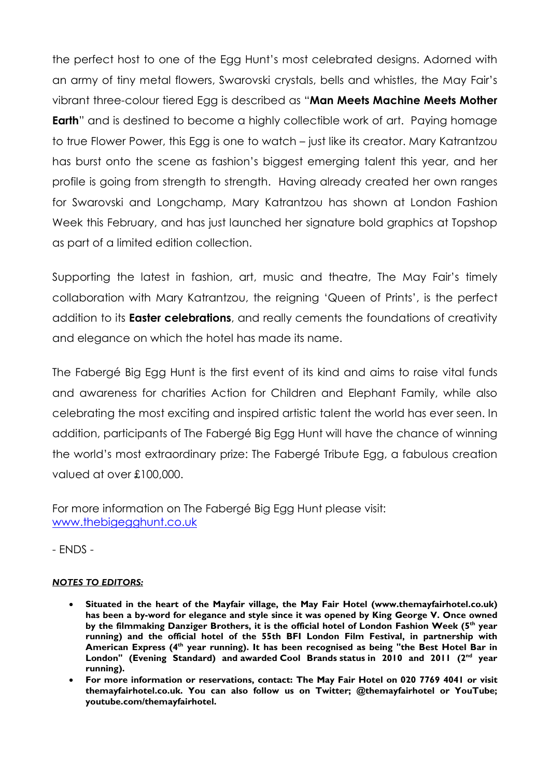the perfect host to one of the Egg Hunt's most celebrated designs. Adorned with an army of tiny metal flowers, Swarovski crystals, bells and whistles, the May Fair's vibrant three-colour tiered Egg is described as "**Man Meets Machine Meets Mother Earth**" and is destined to become a highly collectible work of art. Paying homage to true Flower Power, this Egg is one to watch – just like its creator. Mary Katrantzou has burst onto the scene as fashion's biggest emerging talent this year, and her profile is going from strength to strength. Having already created her own ranges for Swarovski and Longchamp, Mary Katrantzou has shown at London Fashion Week this February, and has just launched her signature bold graphics at Topshop as part of a limited edition collection.

Supporting the latest in fashion, art, music and theatre, The May Fair's timely collaboration with Mary Katrantzou, the reigning 'Queen of Prints', is the perfect addition to its **Easter celebrations**, and really cements the foundations of creativity and elegance on which the hotel has made its name.

The Fabergé Big Egg Hunt is the first event of its kind and aims to raise vital funds and awareness for charities Action for Children and Elephant Family, while also celebrating the most exciting and inspired artistic talent the world has ever seen. In addition, participants of The Fabergé Big Egg Hunt will have the chance of winning the world's most extraordinary prize: The Fabergé Tribute Egg, a fabulous creation valued at over £100,000.

For more information on The Fabergé Big Egg Hunt please visit: www.thebigegghunt.co.uk

- ENDS -

## *NOTES TO EDITORS:*

- **Situated in the heart of the Mayfair village, the May Fair Hotel (www.themayfairhotel.co.uk) has been a by-word for elegance and style since it was opened by King George V. Once owned by the filmmaking Danziger Brothers, it is the official hotel of London Fashion Week (5th year running) and the official hotel of the 55th BFI London Film Festival, in partnership with American Express (4th year running). It has been recognised as being "the Best Hotel Bar in London" (Evening Standard) and awarded Cool Brands status in 2010 and 2011 (2nd year running).**
- **For more information or reservations, contact: The May Fair Hotel on 020 7769 4041 or visit themayfairhotel.co.uk. You can also follow us on Twitter; @themayfairhotel or YouTube; youtube.com/themayfairhotel.**